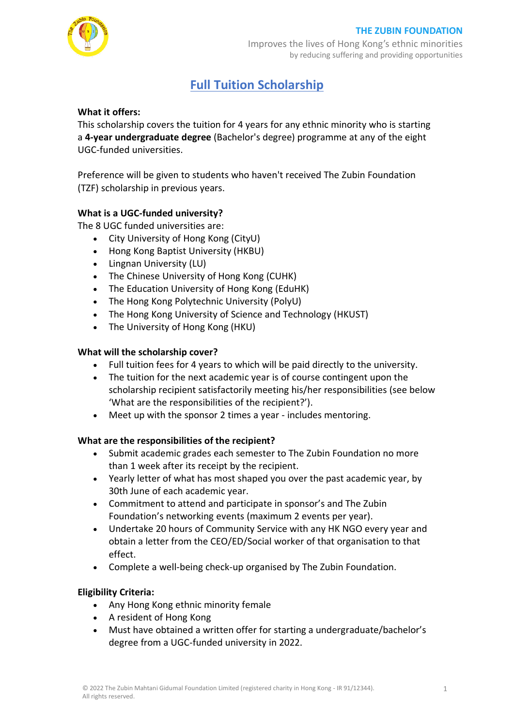

Improves the lives of Hong Kong's ethnic minorities by reducing suffering and providing opportunities

# **Full Tuition Scholarship**

# **What it offers:**

This scholarship covers the tuition for 4 years for any ethnic minority who is starting a **4-year undergraduate degree** (Bachelor's degree) programme at any of the eight UGC-funded universities.

Preference will be given to students who haven't received The Zubin Foundation (TZF) scholarship in previous years.

## **What is a UGC-funded university?**

The 8 UGC funded universities are:

- City University of Hong Kong (CityU)
- Hong Kong Baptist University (HKBU)
- Lingnan University (LU)
- The Chinese University of Hong Kong (CUHK)
- The Education University of Hong Kong (EduHK)
- The Hong Kong Polytechnic University (PolyU)
- The Hong Kong University of Science and Technology (HKUST)
- The University of Hong Kong (HKU)

#### **What will the scholarship cover?**

- Full tuition fees for 4 years to which will be paid directly to the university.
- The tuition for the next academic year is of course contingent upon the scholarship recipient satisfactorily meeting his/her responsibilities (see below 'What are the responsibilities of the recipient?').
- Meet up with the sponsor 2 times a year includes mentoring.

## **What are the responsibilities of the recipient?**

- Submit academic grades each semester to The Zubin Foundation no more than 1 week after its receipt by the recipient.
- Yearly letter of what has most shaped you over the past academic year, by 30th June of each academic year.
- Commitment to attend and participate in sponsor's and The Zubin Foundation's networking events (maximum 2 events per year).
- Undertake 20 hours of Community Service with any HK NGO every year and obtain a letter from the CEO/ED/Social worker of that organisation to that effect.
- Complete a well-being check-up organised by The Zubin Foundation.

## **Eligibility Criteria:**

- Any Hong Kong ethnic minority female
- A resident of Hong Kong
- Must have obtained a written offer for starting a undergraduate/bachelor's degree from a UGC-funded university in 2022.